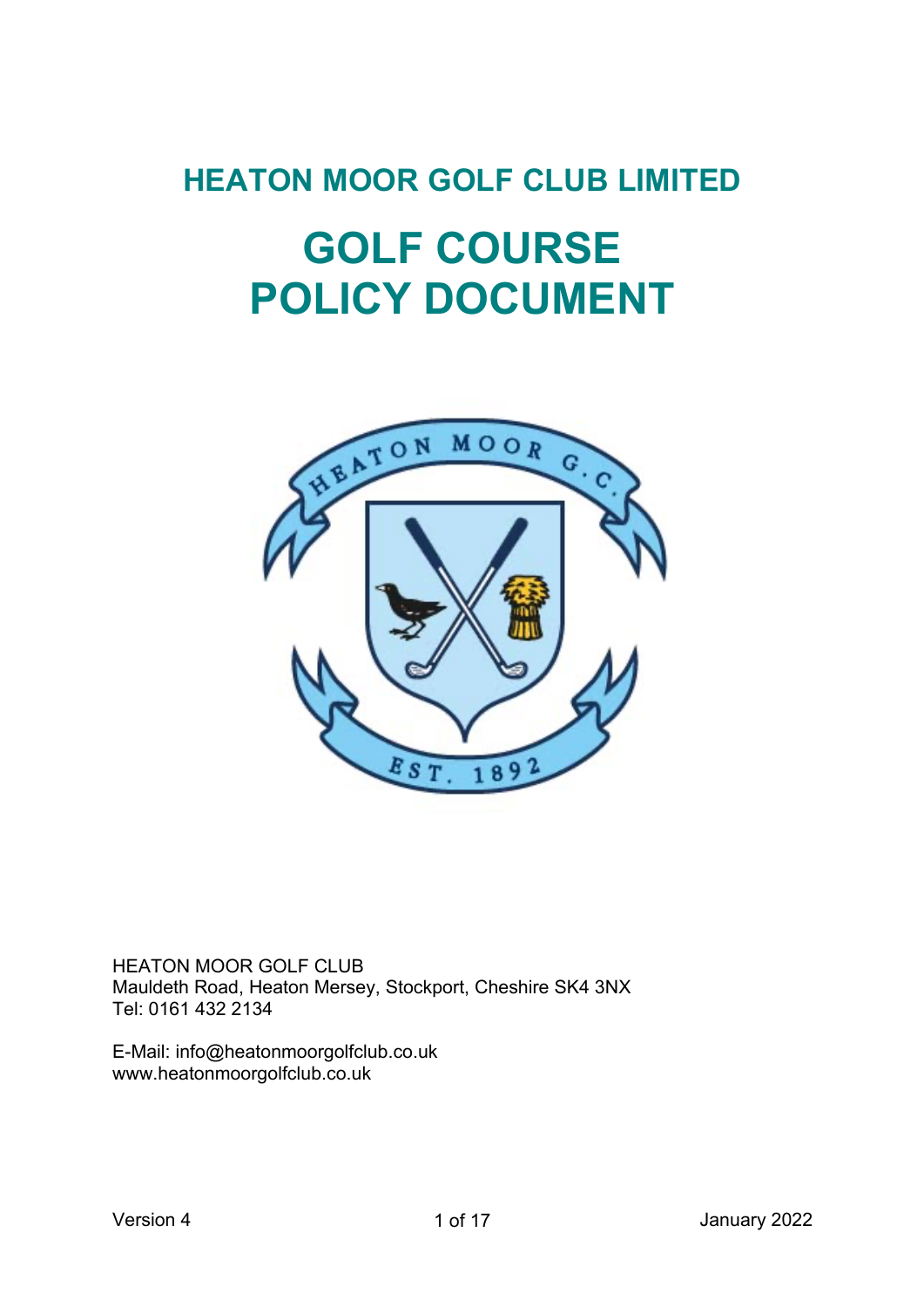# **HEATON MOOR GOLF CLUB LIMITED**

# **GOLF COURSE POLICY DOCUMENT**



HEATON MOOR GOLF CLUB Mauldeth Road, Heaton Mersey, Stockport, Cheshire SK4 3NX Tel: 0161 432 2134

E-Mail: info@heatonmoorgolfclub.co.uk www.heatonmoorgolfclub.co.uk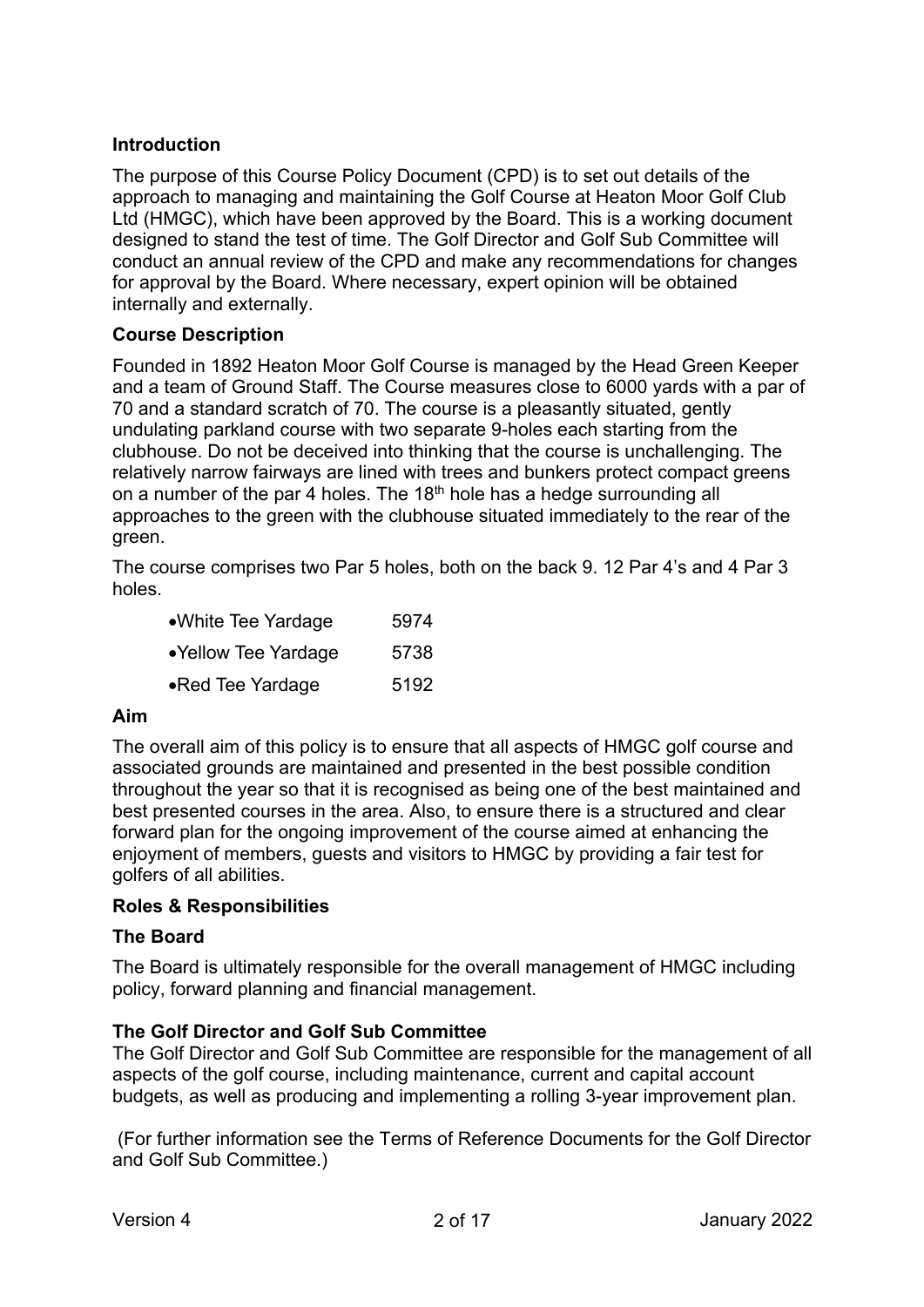#### **Introduction**

The purpose of this Course Policy Document (CPD) is to set out details of the approach to managing and maintaining the Golf Course at Heaton Moor Golf Club Ltd (HMGC), which have been approved by the Board. This is a working document designed to stand the test of time. The Golf Director and Golf Sub Committee will conduct an annual review of the CPD and make any recommendations for changes for approval by the Board. Where necessary, expert opinion will be obtained internally and externally.

#### **Course Description**

Founded in 1892 Heaton Moor Golf Course is managed by the Head Green Keeper and a team of Ground Staff. The Course measures close to 6000 yards with a par of 70 and a standard scratch of 70. The course is a pleasantly situated, gently undulating parkland course with two separate 9-holes each starting from the clubhouse. Do not be deceived into thinking that the course is unchallenging. The relatively narrow fairways are lined with trees and bunkers protect compact greens on a number of the par 4 holes. The 18<sup>th</sup> hole has a hedge surrounding all approaches to the green with the clubhouse situated immediately to the rear of the green.

The course comprises two Par 5 holes, both on the back 9. 12 Par 4's and 4 Par 3 holes.

| • White Tee Yardage | 5974 |
|---------------------|------|
| •Yellow Tee Yardage | 5738 |
| •Red Tee Yardage    | 5192 |

#### **Aim**

The overall aim of this policy is to ensure that all aspects of HMGC golf course and associated grounds are maintained and presented in the best possible condition throughout the year so that it is recognised as being one of the best maintained and best presented courses in the area. Also, to ensure there is a structured and clear forward plan for the ongoing improvement of the course aimed at enhancing the enjoyment of members, guests and visitors to HMGC by providing a fair test for golfers of all abilities.

#### **Roles & Responsibilities**

#### **The Board**

The Board is ultimately responsible for the overall management of HMGC including policy, forward planning and financial management.

#### **The Golf Director and Golf Sub Committee**

The Golf Director and Golf Sub Committee are responsible for the management of all aspects of the golf course, including maintenance, current and capital account budgets, as well as producing and implementing a rolling 3-year improvement plan.

(For further information see the Terms of Reference Documents for the Golf Director and Golf Sub Committee.)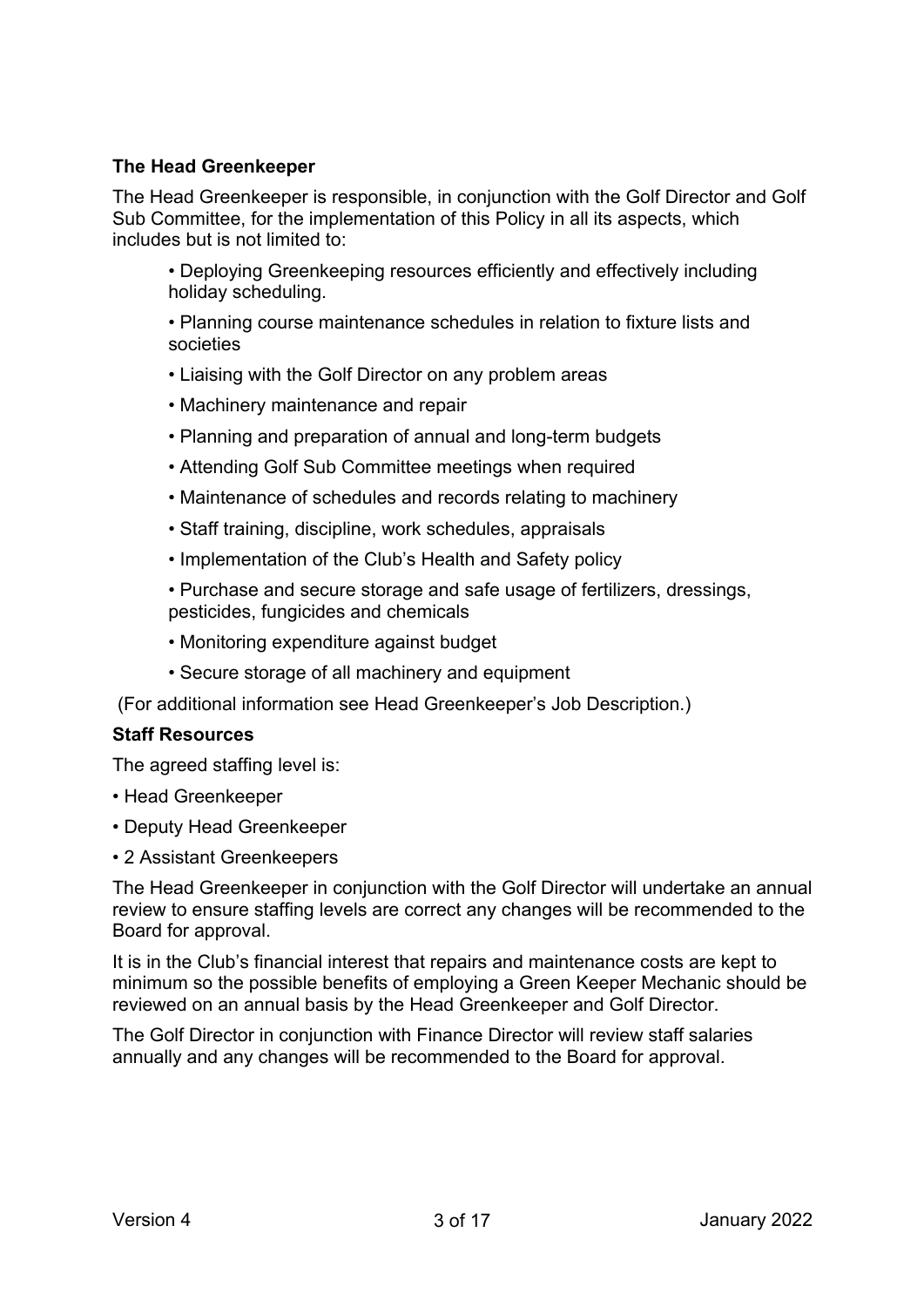#### **The Head Greenkeeper**

The Head Greenkeeper is responsible, in conjunction with the Golf Director and Golf Sub Committee, for the implementation of this Policy in all its aspects, which includes but is not limited to:

• Deploying Greenkeeping resources efficiently and effectively including holiday scheduling.

• Planning course maintenance schedules in relation to fixture lists and societies

- Liaising with the Golf Director on any problem areas
- Machinery maintenance and repair
- Planning and preparation of annual and long-term budgets
- Attending Golf Sub Committee meetings when required
- Maintenance of schedules and records relating to machinery
- Staff training, discipline, work schedules, appraisals
- Implementation of the Club's Health and Safety policy

• Purchase and secure storage and safe usage of fertilizers, dressings, pesticides, fungicides and chemicals

- Monitoring expenditure against budget
- Secure storage of all machinery and equipment

(For additional information see Head Greenkeeper's Job Description.)

#### **Staff Resources**

The agreed staffing level is:

- Head Greenkeeper
- Deputy Head Greenkeeper
- 2 Assistant Greenkeepers

The Head Greenkeeper in conjunction with the Golf Director will undertake an annual review to ensure staffing levels are correct any changes will be recommended to the Board for approval.

It is in the Club's financial interest that repairs and maintenance costs are kept to minimum so the possible benefits of employing a Green Keeper Mechanic should be reviewed on an annual basis by the Head Greenkeeper and Golf Director.

The Golf Director in conjunction with Finance Director will review staff salaries annually and any changes will be recommended to the Board for approval.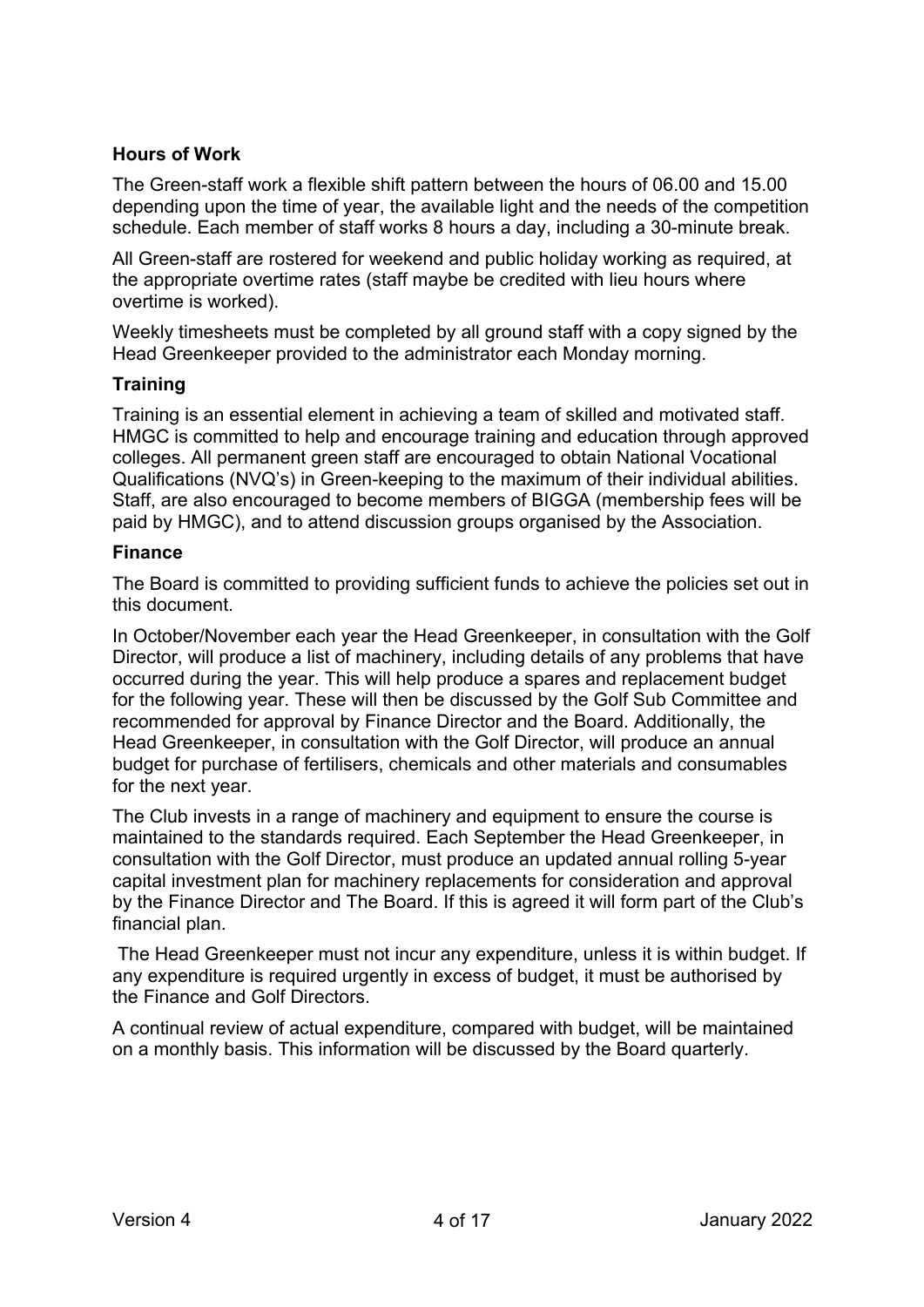#### **Hours of Work**

The Green-staff work a flexible shift pattern between the hours of 06.00 and 15.00 depending upon the time of year, the available light and the needs of the competition schedule. Each member of staff works 8 hours a day, including a 30-minute break.

All Green-staff are rostered for weekend and public holiday working as required, at the appropriate overtime rates (staff maybe be credited with lieu hours where overtime is worked).

Weekly timesheets must be completed by all ground staff with a copy signed by the Head Greenkeeper provided to the administrator each Monday morning.

#### **Training**

Training is an essential element in achieving a team of skilled and motivated staff. HMGC is committed to help and encourage training and education through approved colleges. All permanent green staff are encouraged to obtain National Vocational Qualifications (NVQ's) in Green-keeping to the maximum of their individual abilities. Staff, are also encouraged to become members of BIGGA (membership fees will be paid by HMGC), and to attend discussion groups organised by the Association.

#### **Finance**

The Board is committed to providing sufficient funds to achieve the policies set out in this document.

In October/November each year the Head Greenkeeper, in consultation with the Golf Director, will produce a list of machinery, including details of any problems that have occurred during the year. This will help produce a spares and replacement budget for the following year. These will then be discussed by the Golf Sub Committee and recommended for approval by Finance Director and the Board. Additionally, the Head Greenkeeper, in consultation with the Golf Director, will produce an annual budget for purchase of fertilisers, chemicals and other materials and consumables for the next year.

The Club invests in a range of machinery and equipment to ensure the course is maintained to the standards required. Each September the Head Greenkeeper, in consultation with the Golf Director, must produce an updated annual rolling 5-year capital investment plan for machinery replacements for consideration and approval by the Finance Director and The Board. If this is agreed it will form part of the Club's financial plan.

The Head Greenkeeper must not incur any expenditure, unless it is within budget. If any expenditure is required urgently in excess of budget, it must be authorised by the Finance and Golf Directors.

A continual review of actual expenditure, compared with budget, will be maintained on a monthly basis. This information will be discussed by the Board quarterly.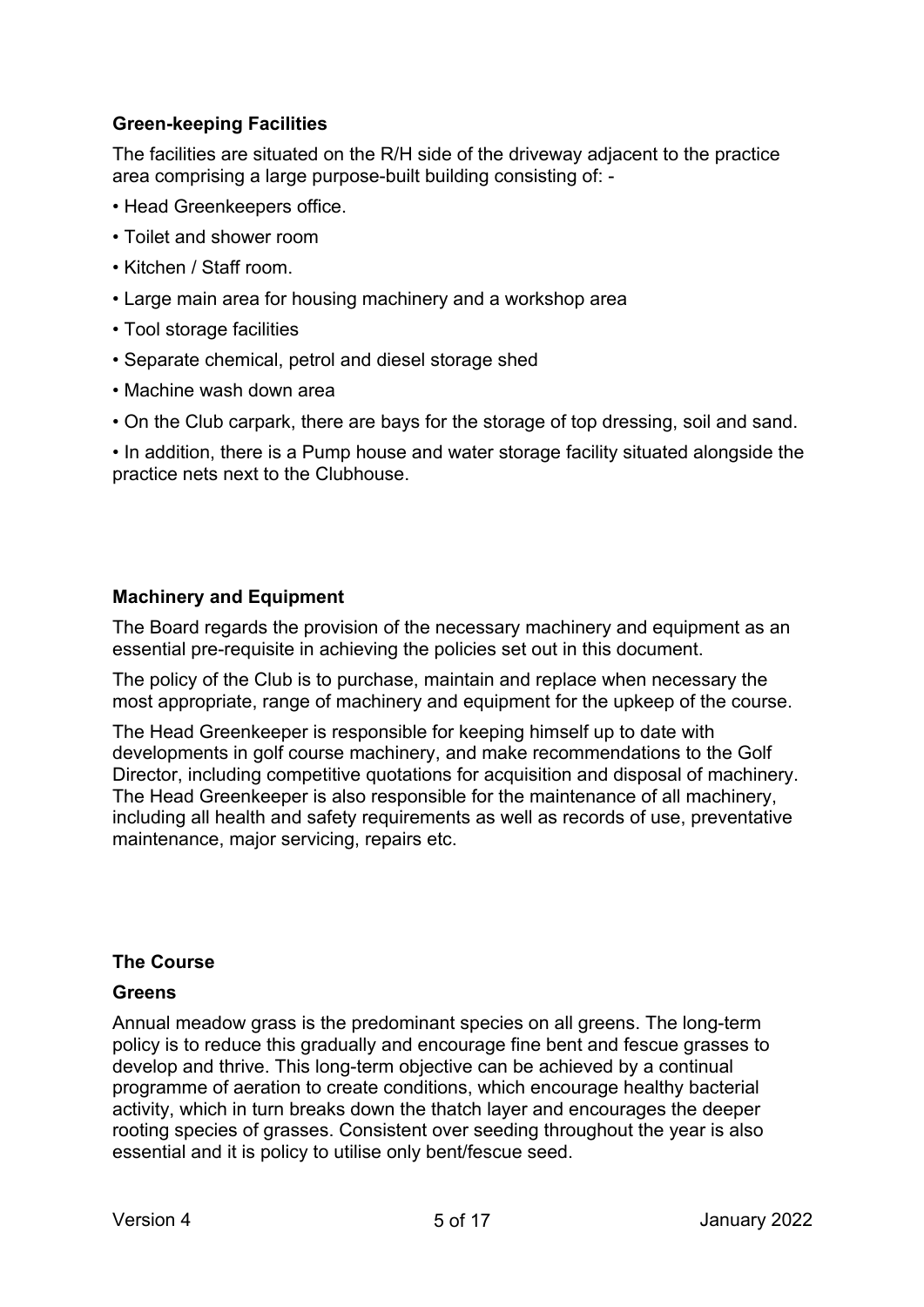## **Green-keeping Facilities**

The facilities are situated on the R/H side of the driveway adjacent to the practice area comprising a large purpose-built building consisting of: -

- Head Greenkeepers office.
- Toilet and shower room
- Kitchen / Staff room.
- Large main area for housing machinery and a workshop area
- Tool storage facilities
- Separate chemical, petrol and diesel storage shed
- Machine wash down area
- On the Club carpark, there are bays for the storage of top dressing, soil and sand.

• In addition, there is a Pump house and water storage facility situated alongside the practice nets next to the Clubhouse.

#### **Machinery and Equipment**

The Board regards the provision of the necessary machinery and equipment as an essential pre-requisite in achieving the policies set out in this document.

The policy of the Club is to purchase, maintain and replace when necessary the most appropriate, range of machinery and equipment for the upkeep of the course.

The Head Greenkeeper is responsible for keeping himself up to date with developments in golf course machinery, and make recommendations to the Golf Director, including competitive quotations for acquisition and disposal of machinery. The Head Greenkeeper is also responsible for the maintenance of all machinery, including all health and safety requirements as well as records of use, preventative maintenance, major servicing, repairs etc.

#### **The Course**

#### **Greens**

Annual meadow grass is the predominant species on all greens. The long-term policy is to reduce this gradually and encourage fine bent and fescue grasses to develop and thrive. This long-term objective can be achieved by a continual programme of aeration to create conditions, which encourage healthy bacterial activity, which in turn breaks down the thatch layer and encourages the deeper rooting species of grasses. Consistent over seeding throughout the year is also essential and it is policy to utilise only bent/fescue seed.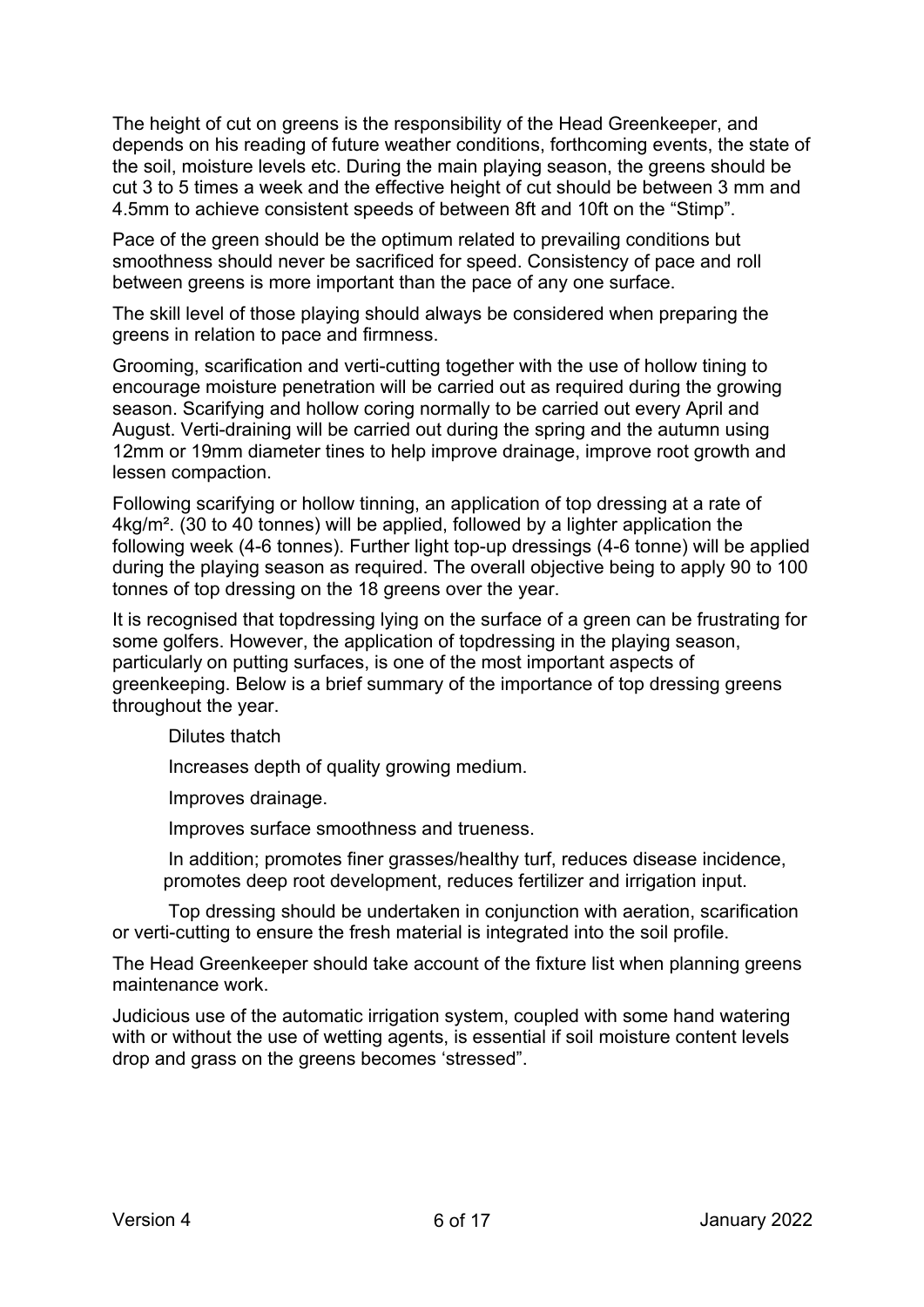The height of cut on greens is the responsibility of the Head Greenkeeper, and depends on his reading of future weather conditions, forthcoming events, the state of the soil, moisture levels etc. During the main playing season, the greens should be cut 3 to 5 times a week and the effective height of cut should be between 3 mm and 4.5mm to achieve consistent speeds of between 8ft and 10ft on the "Stimp".

Pace of the green should be the optimum related to prevailing conditions but smoothness should never be sacrificed for speed. Consistency of pace and roll between greens is more important than the pace of any one surface.

The skill level of those playing should always be considered when preparing the greens in relation to pace and firmness.

Grooming, scarification and verti-cutting together with the use of hollow tining to encourage moisture penetration will be carried out as required during the growing season. Scarifying and hollow coring normally to be carried out every April and August. Verti-draining will be carried out during the spring and the autumn using 12mm or 19mm diameter tines to help improve drainage, improve root growth and lessen compaction.

Following scarifying or hollow tinning, an application of top dressing at a rate of 4kg/m². (30 to 40 tonnes) will be applied, followed by a lighter application the following week (4-6 tonnes). Further light top-up dressings (4-6 tonne) will be applied during the playing season as required. The overall objective being to apply 90 to 100 tonnes of top dressing on the 18 greens over the year.

It is recognised that topdressing lying on the surface of a green can be frustrating for some golfers. However, the application of topdressing in the playing season, particularly on putting surfaces, is one of the most important aspects of greenkeeping. Below is a brief summary of the importance of top dressing greens throughout the year.

Dilutes thatch

Increases depth of quality growing medium.

Improves drainage.

Improves surface smoothness and trueness.

In addition; promotes finer grasses/healthy turf, reduces disease incidence, promotes deep root development, reduces fertilizer and irrigation input.

Top dressing should be undertaken in conjunction with aeration, scarification or verti-cutting to ensure the fresh material is integrated into the soil profile.

The Head Greenkeeper should take account of the fixture list when planning greens maintenance work.

Judicious use of the automatic irrigation system, coupled with some hand watering with or without the use of wetting agents, is essential if soil moisture content levels drop and grass on the greens becomes 'stressed".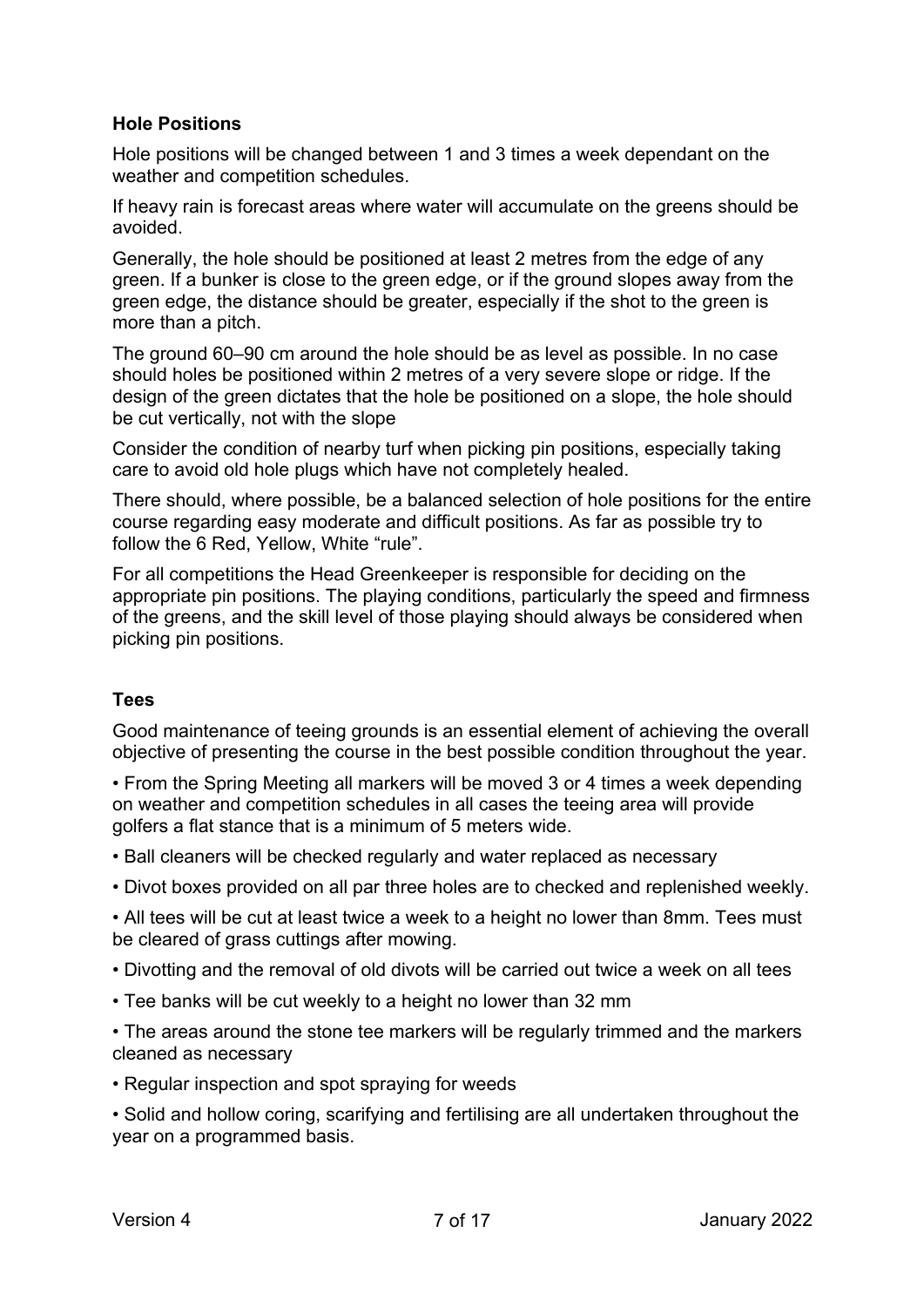#### **Hole Positions**

Hole positions will be changed between 1 and 3 times a week dependant on the weather and competition schedules.

If heavy rain is forecast areas where water will accumulate on the greens should be avoided.

Generally, the hole should be positioned at least 2 metres from the edge of any green. If a bunker is close to the green edge, or if the ground slopes away from the green edge, the distance should be greater, especially if the shot to the green is more than a pitch.

The ground 60–90 cm around the hole should be as level as possible. In no case should holes be positioned within 2 metres of a very severe slope or ridge. If the design of the green dictates that the hole be positioned on a slope, the hole should be cut vertically, not with the slope

Consider the condition of nearby turf when picking pin positions, especially taking care to avoid old hole plugs which have not completely healed.

There should, where possible, be a balanced selection of hole positions for the entire course regarding easy moderate and difficult positions. As far as possible try to follow the 6 Red, Yellow, White "rule".

For all competitions the Head Greenkeeper is responsible for deciding on the appropriate pin positions. The playing conditions, particularly the speed and firmness of the greens, and the skill level of those playing should always be considered when picking pin positions.

#### **Tees**

Good maintenance of teeing grounds is an essential element of achieving the overall objective of presenting the course in the best possible condition throughout the year.

• From the Spring Meeting all markers will be moved 3 or 4 times a week depending on weather and competition schedules in all cases the teeing area will provide golfers a flat stance that is a minimum of 5 meters wide.

- Ball cleaners will be checked regularly and water replaced as necessary
- Divot boxes provided on all par three holes are to checked and replenished weekly.

• All tees will be cut at least twice a week to a height no lower than 8mm. Tees must be cleared of grass cuttings after mowing.

- Divotting and the removal of old divots will be carried out twice a week on all tees
- Tee banks will be cut weekly to a height no lower than 32 mm
- The areas around the stone tee markers will be regularly trimmed and the markers cleaned as necessary
- Regular inspection and spot spraying for weeds

• Solid and hollow coring, scarifying and fertilising are all undertaken throughout the year on a programmed basis.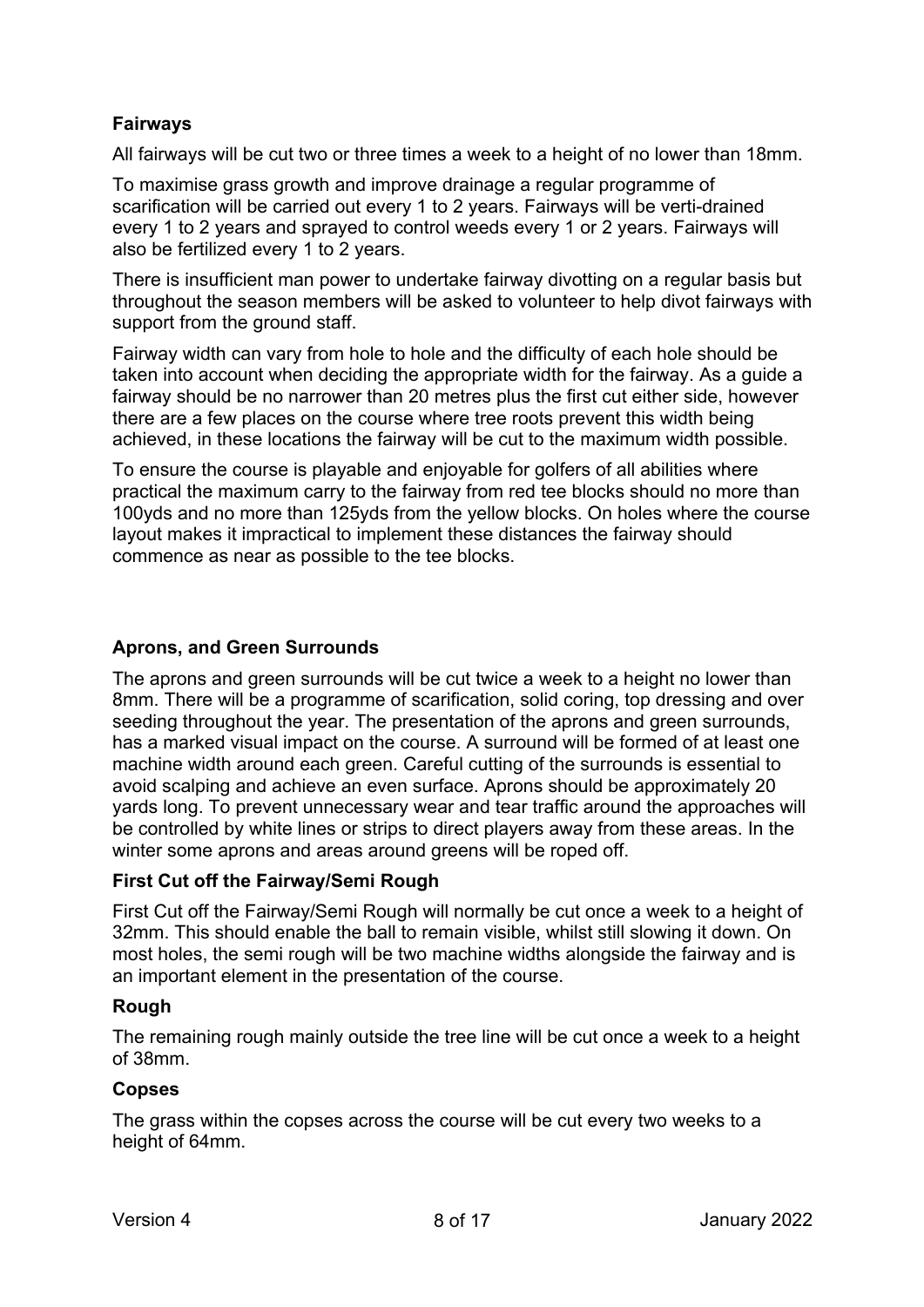# **Fairways**

All fairways will be cut two or three times a week to a height of no lower than 18mm.

To maximise grass growth and improve drainage a regular programme of scarification will be carried out every 1 to 2 years. Fairways will be verti-drained every 1 to 2 years and sprayed to control weeds every 1 or 2 years. Fairways will also be fertilized every 1 to 2 years.

There is insufficient man power to undertake fairway divotting on a regular basis but throughout the season members will be asked to volunteer to help divot fairways with support from the ground staff.

Fairway width can vary from hole to hole and the difficulty of each hole should be taken into account when deciding the appropriate width for the fairway. As a guide a fairway should be no narrower than 20 metres plus the first cut either side, however there are a few places on the course where tree roots prevent this width being achieved, in these locations the fairway will be cut to the maximum width possible.

To ensure the course is playable and enjoyable for golfers of all abilities where practical the maximum carry to the fairway from red tee blocks should no more than 100yds and no more than 125yds from the yellow blocks. On holes where the course layout makes it impractical to implement these distances the fairway should commence as near as possible to the tee blocks.

#### **Aprons, and Green Surrounds**

The aprons and green surrounds will be cut twice a week to a height no lower than 8mm. There will be a programme of scarification, solid coring, top dressing and over seeding throughout the year. The presentation of the aprons and green surrounds, has a marked visual impact on the course. A surround will be formed of at least one machine width around each green. Careful cutting of the surrounds is essential to avoid scalping and achieve an even surface. Aprons should be approximately 20 yards long. To prevent unnecessary wear and tear traffic around the approaches will be controlled by white lines or strips to direct players away from these areas. In the winter some aprons and areas around greens will be roped off.

#### **First Cut off the Fairway/Semi Rough**

First Cut off the Fairway/Semi Rough will normally be cut once a week to a height of 32mm. This should enable the ball to remain visible, whilst still slowing it down. On most holes, the semi rough will be two machine widths alongside the fairway and is an important element in the presentation of the course.

#### **Rough**

The remaining rough mainly outside the tree line will be cut once a week to a height of 38mm.

#### **Copses**

The grass within the copses across the course will be cut every two weeks to a height of 64mm.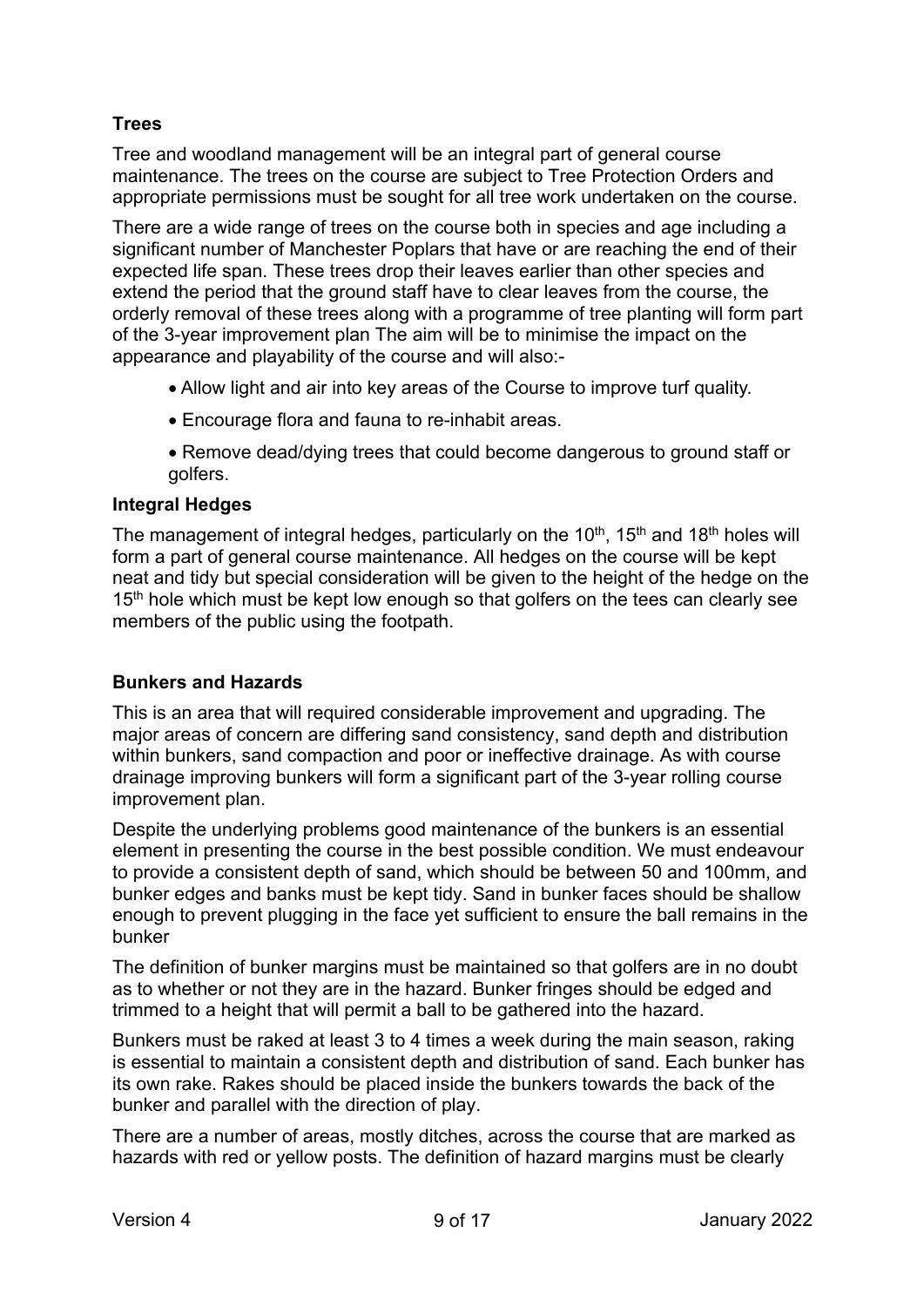## **Trees**

Tree and woodland management will be an integral part of general course maintenance. The trees on the course are subject to Tree Protection Orders and appropriate permissions must be sought for all tree work undertaken on the course.

There are a wide range of trees on the course both in species and age including a significant number of Manchester Poplars that have or are reaching the end of their expected life span. These trees drop their leaves earlier than other species and extend the period that the ground staff have to clear leaves from the course, the orderly removal of these trees along with a programme of tree planting will form part of the 3-year improvement plan The aim will be to minimise the impact on the appearance and playability of the course and will also:-

- Allow light and air into key areas of the Course to improve turf quality.
- Encourage flora and fauna to re-inhabit areas.
- Remove dead/dying trees that could become dangerous to ground staff or golfers.

#### **Integral Hedges**

The management of integral hedges, particularly on the 10<sup>th</sup>, 15<sup>th</sup> and 18<sup>th</sup> holes will form a part of general course maintenance. All hedges on the course will be kept neat and tidy but special consideration will be given to the height of the hedge on the 15<sup>th</sup> hole which must be kept low enough so that golfers on the tees can clearly see members of the public using the footpath.

#### **Bunkers and Hazards**

This is an area that will required considerable improvement and upgrading. The major areas of concern are differing sand consistency, sand depth and distribution within bunkers, sand compaction and poor or ineffective drainage. As with course drainage improving bunkers will form a significant part of the 3-year rolling course improvement plan.

Despite the underlying problems good maintenance of the bunkers is an essential element in presenting the course in the best possible condition. We must endeavour to provide a consistent depth of sand, which should be between 50 and 100mm, and bunker edges and banks must be kept tidy. Sand in bunker faces should be shallow enough to prevent plugging in the face yet sufficient to ensure the ball remains in the bunker

The definition of bunker margins must be maintained so that golfers are in no doubt as to whether or not they are in the hazard. Bunker fringes should be edged and trimmed to a height that will permit a ball to be gathered into the hazard.

Bunkers must be raked at least 3 to 4 times a week during the main season, raking is essential to maintain a consistent depth and distribution of sand. Each bunker has its own rake. Rakes should be placed inside the bunkers towards the back of the bunker and parallel with the direction of play.

There are a number of areas, mostly ditches, across the course that are marked as hazards with red or yellow posts. The definition of hazard margins must be clearly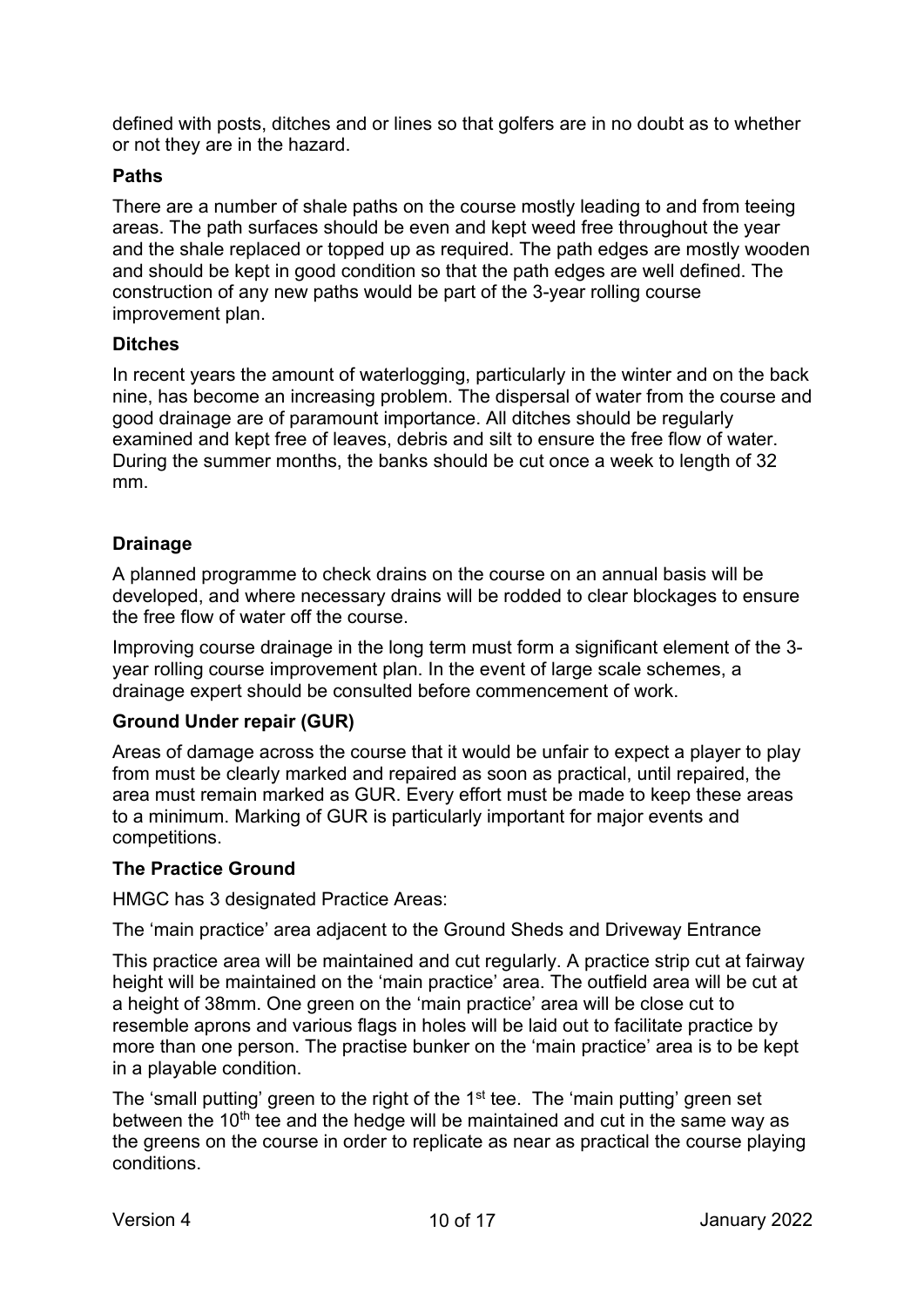defined with posts, ditches and or lines so that golfers are in no doubt as to whether or not they are in the hazard.

#### **Paths**

There are a number of shale paths on the course mostly leading to and from teeing areas. The path surfaces should be even and kept weed free throughout the year and the shale replaced or topped up as required. The path edges are mostly wooden and should be kept in good condition so that the path edges are well defined. The construction of any new paths would be part of the 3-year rolling course improvement plan.

#### **Ditches**

In recent years the amount of waterlogging, particularly in the winter and on the back nine, has become an increasing problem. The dispersal of water from the course and good drainage are of paramount importance. All ditches should be regularly examined and kept free of leaves, debris and silt to ensure the free flow of water. During the summer months, the banks should be cut once a week to length of 32 mm.

#### **Drainage**

A planned programme to check drains on the course on an annual basis will be developed, and where necessary drains will be rodded to clear blockages to ensure the free flow of water off the course.

Improving course drainage in the long term must form a significant element of the 3 year rolling course improvement plan. In the event of large scale schemes, a drainage expert should be consulted before commencement of work.

#### **Ground Under repair (GUR)**

Areas of damage across the course that it would be unfair to expect a player to play from must be clearly marked and repaired as soon as practical, until repaired, the area must remain marked as GUR. Every effort must be made to keep these areas to a minimum. Marking of GUR is particularly important for major events and competitions.

#### **The Practice Ground**

HMGC has 3 designated Practice Areas:

The 'main practice' area adjacent to the Ground Sheds and Driveway Entrance

This practice area will be maintained and cut regularly. A practice strip cut at fairway height will be maintained on the 'main practice' area. The outfield area will be cut at a height of 38mm. One green on the 'main practice' area will be close cut to resemble aprons and various flags in holes will be laid out to facilitate practice by more than one person. The practise bunker on the 'main practice' area is to be kept in a playable condition.

The 'small putting' green to the right of the 1<sup>st</sup> tee. The 'main putting' green set between the  $10<sup>th</sup>$  tee and the hedge will be maintained and cut in the same way as the greens on the course in order to replicate as near as practical the course playing conditions.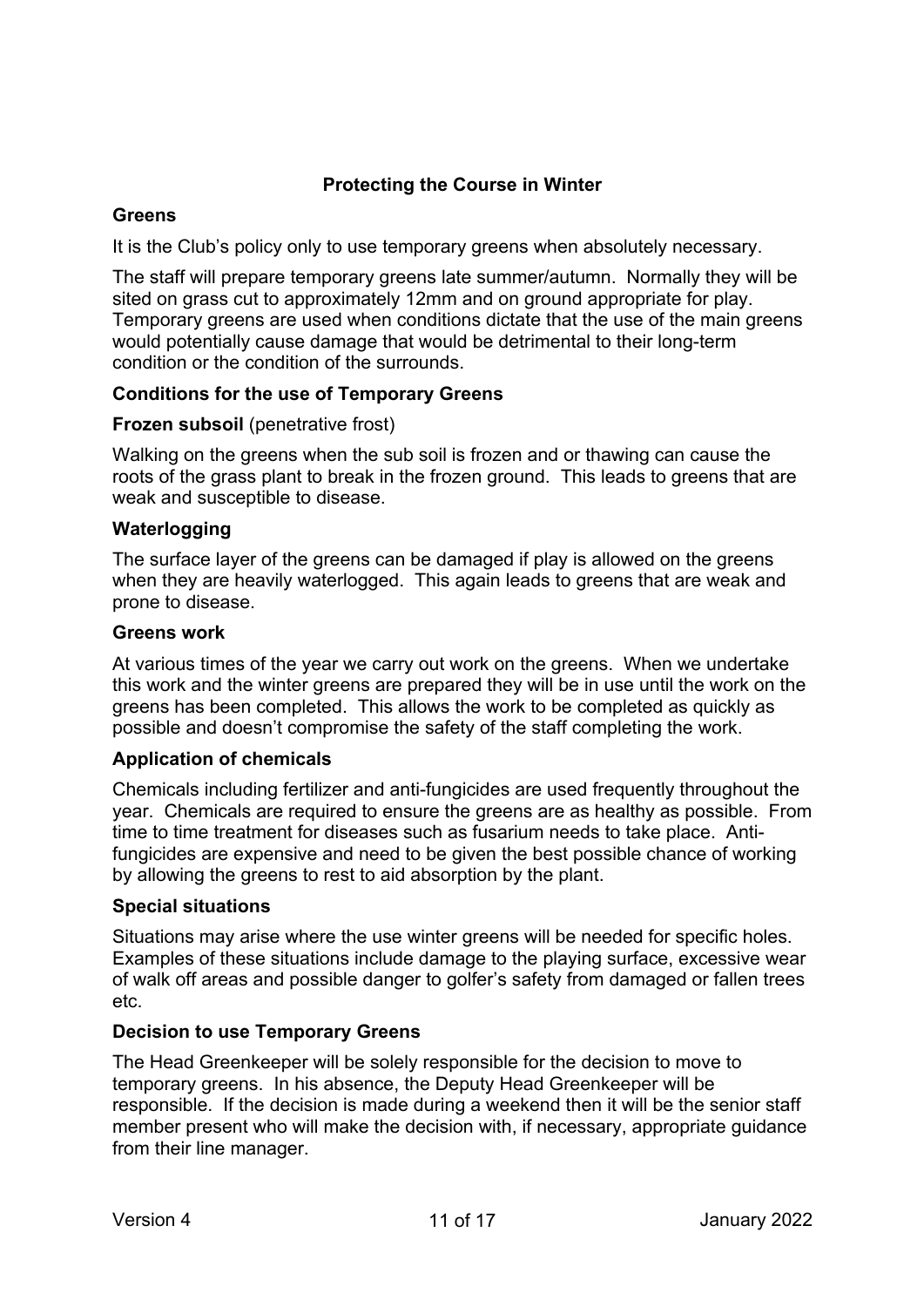#### **Protecting the Course in Winter**

#### **Greens**

It is the Club's policy only to use temporary greens when absolutely necessary.

The staff will prepare temporary greens late summer/autumn. Normally they will be sited on grass cut to approximately 12mm and on ground appropriate for play. Temporary greens are used when conditions dictate that the use of the main greens would potentially cause damage that would be detrimental to their long-term condition or the condition of the surrounds.

#### **Conditions for the use of Temporary Greens**

#### **Frozen subsoil** (penetrative frost)

Walking on the greens when the sub soil is frozen and or thawing can cause the roots of the grass plant to break in the frozen ground. This leads to greens that are weak and susceptible to disease.

#### **Waterlogging**

The surface layer of the greens can be damaged if play is allowed on the greens when they are heavily waterlogged. This again leads to greens that are weak and prone to disease.

#### **Greens work**

At various times of the year we carry out work on the greens. When we undertake this work and the winter greens are prepared they will be in use until the work on the greens has been completed. This allows the work to be completed as quickly as possible and doesn't compromise the safety of the staff completing the work.

#### **Application of chemicals**

Chemicals including fertilizer and anti-fungicides are used frequently throughout the year. Chemicals are required to ensure the greens are as healthy as possible. From time to time treatment for diseases such as fusarium needs to take place. Antifungicides are expensive and need to be given the best possible chance of working by allowing the greens to rest to aid absorption by the plant.

#### **Special situations**

Situations may arise where the use winter greens will be needed for specific holes. Examples of these situations include damage to the playing surface, excessive wear of walk off areas and possible danger to golfer's safety from damaged or fallen trees etc.

#### **Decision to use Temporary Greens**

The Head Greenkeeper will be solely responsible for the decision to move to temporary greens. In his absence, the Deputy Head Greenkeeper will be responsible. If the decision is made during a weekend then it will be the senior staff member present who will make the decision with, if necessary, appropriate guidance from their line manager.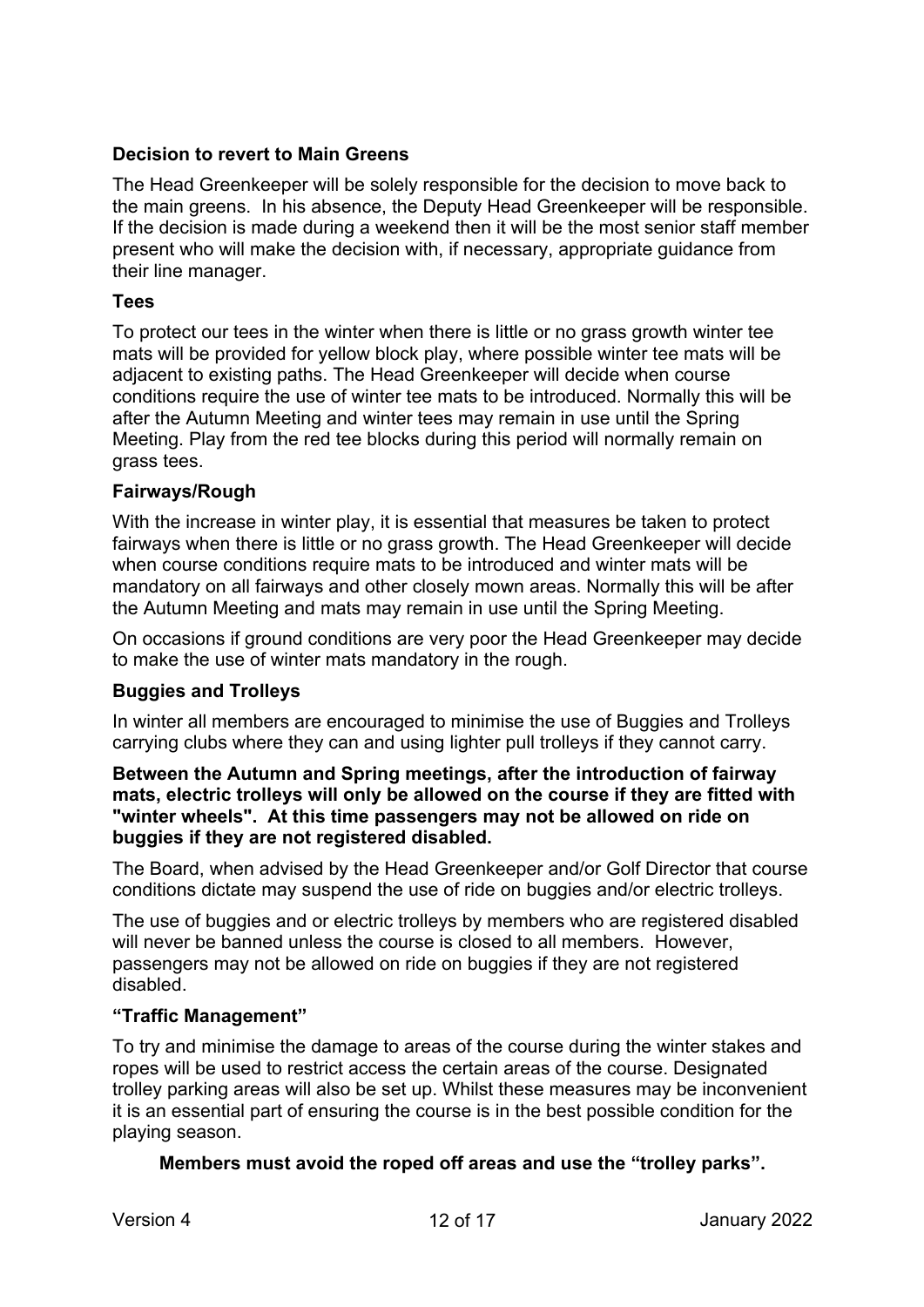#### **Decision to revert to Main Greens**

The Head Greenkeeper will be solely responsible for the decision to move back to the main greens. In his absence, the Deputy Head Greenkeeper will be responsible. If the decision is made during a weekend then it will be the most senior staff member present who will make the decision with, if necessary, appropriate guidance from their line manager.

#### **Tees**

To protect our tees in the winter when there is little or no grass growth winter tee mats will be provided for yellow block play, where possible winter tee mats will be adjacent to existing paths. The Head Greenkeeper will decide when course conditions require the use of winter tee mats to be introduced. Normally this will be after the Autumn Meeting and winter tees may remain in use until the Spring Meeting. Play from the red tee blocks during this period will normally remain on grass tees.

#### **Fairways/Rough**

With the increase in winter play, it is essential that measures be taken to protect fairways when there is little or no grass growth. The Head Greenkeeper will decide when course conditions require mats to be introduced and winter mats will be mandatory on all fairways and other closely mown areas. Normally this will be after the Autumn Meeting and mats may remain in use until the Spring Meeting.

On occasions if ground conditions are very poor the Head Greenkeeper may decide to make the use of winter mats mandatory in the rough.

#### **Buggies and Trolleys**

In winter all members are encouraged to minimise the use of Buggies and Trolleys carrying clubs where they can and using lighter pull trolleys if they cannot carry.

#### **Between the Autumn and Spring meetings, after the introduction of fairway mats, electric trolleys will only be allowed on the course if they are fitted with "winter wheels". At this time passengers may not be allowed on ride on buggies if they are not registered disabled.**

The Board, when advised by the Head Greenkeeper and/or Golf Director that course conditions dictate may suspend the use of ride on buggies and/or electric trolleys.

The use of buggies and or electric trolleys by members who are registered disabled will never be banned unless the course is closed to all members. However, passengers may not be allowed on ride on buggies if they are not registered disabled.

#### **"Traffic Management"**

To try and minimise the damage to areas of the course during the winter stakes and ropes will be used to restrict access the certain areas of the course. Designated trolley parking areas will also be set up. Whilst these measures may be inconvenient it is an essential part of ensuring the course is in the best possible condition for the playing season.

#### **Members must avoid the roped off areas and use the "trolley parks".**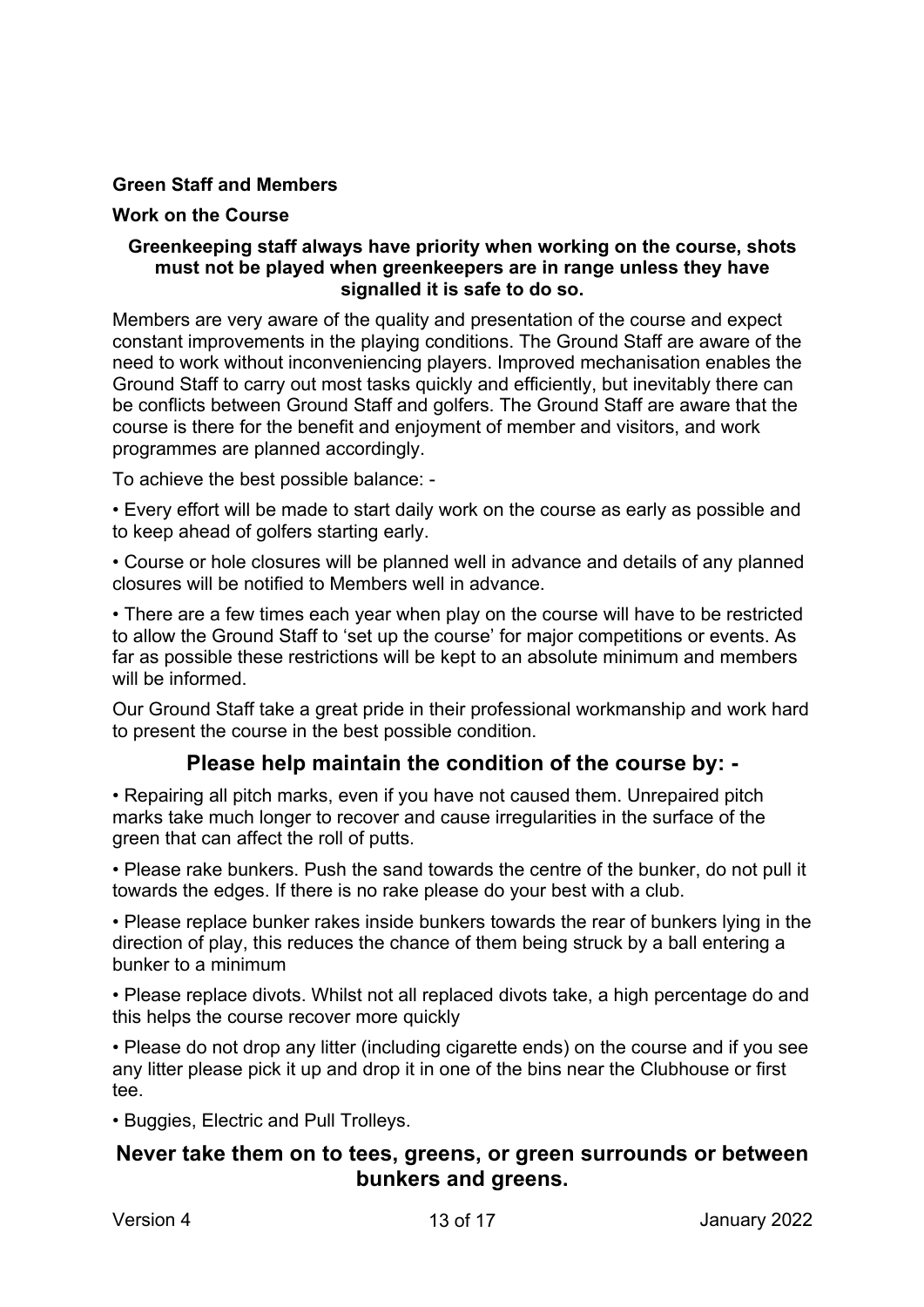#### **Green Staff and Members**

#### **Work on the Course**

#### **Greenkeeping staff always have priority when working on the course, shots must not be played when greenkeepers are in range unless they have signalled it is safe to do so.**

Members are very aware of the quality and presentation of the course and expect constant improvements in the playing conditions. The Ground Staff are aware of the need to work without inconveniencing players. Improved mechanisation enables the Ground Staff to carry out most tasks quickly and efficiently, but inevitably there can be conflicts between Ground Staff and golfers. The Ground Staff are aware that the course is there for the benefit and enjoyment of member and visitors, and work programmes are planned accordingly.

To achieve the best possible balance: -

• Every effort will be made to start daily work on the course as early as possible and to keep ahead of golfers starting early.

• Course or hole closures will be planned well in advance and details of any planned closures will be notified to Members well in advance.

• There are a few times each year when play on the course will have to be restricted to allow the Ground Staff to 'set up the course' for major competitions or events. As far as possible these restrictions will be kept to an absolute minimum and members will be informed.

Our Ground Staff take a great pride in their professional workmanship and work hard to present the course in the best possible condition.

# **Please help maintain the condition of the course by: -**

• Repairing all pitch marks, even if you have not caused them. Unrepaired pitch marks take much longer to recover and cause irregularities in the surface of the green that can affect the roll of putts.

• Please rake bunkers. Push the sand towards the centre of the bunker, do not pull it towards the edges. If there is no rake please do your best with a club.

• Please replace bunker rakes inside bunkers towards the rear of bunkers lying in the direction of play, this reduces the chance of them being struck by a ball entering a bunker to a minimum

• Please replace divots. Whilst not all replaced divots take, a high percentage do and this helps the course recover more quickly

• Please do not drop any litter (including cigarette ends) on the course and if you see any litter please pick it up and drop it in one of the bins near the Clubhouse or first tee.

• Buggies, Electric and Pull Trolleys.

# **Never take them on to tees, greens, or green surrounds or between bunkers and greens.**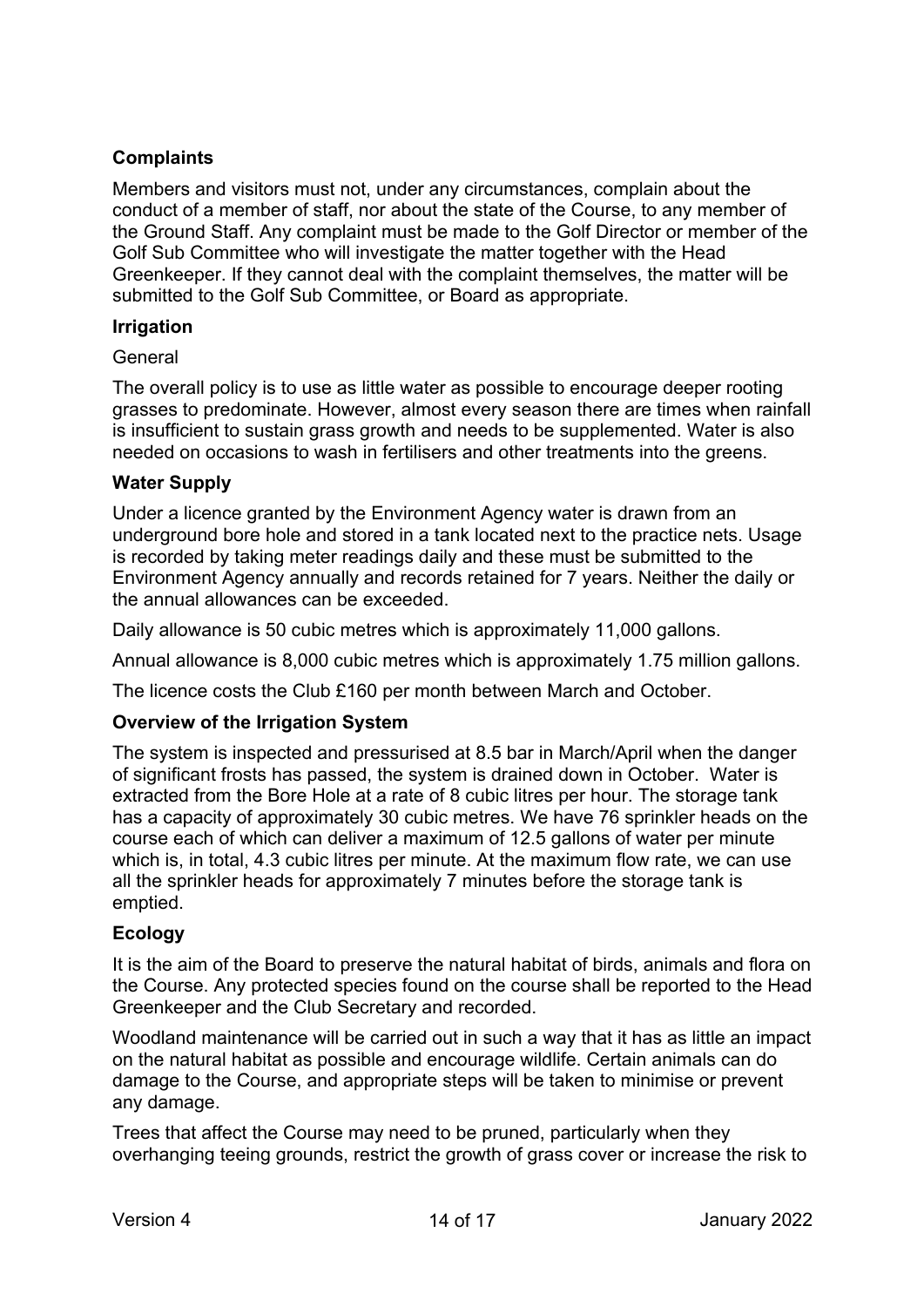#### **Complaints**

Members and visitors must not, under any circumstances, complain about the conduct of a member of staff, nor about the state of the Course, to any member of the Ground Staff. Any complaint must be made to the Golf Director or member of the Golf Sub Committee who will investigate the matter together with the Head Greenkeeper. If they cannot deal with the complaint themselves, the matter will be submitted to the Golf Sub Committee, or Board as appropriate.

#### **Irrigation**

#### General

The overall policy is to use as little water as possible to encourage deeper rooting grasses to predominate. However, almost every season there are times when rainfall is insufficient to sustain grass growth and needs to be supplemented. Water is also needed on occasions to wash in fertilisers and other treatments into the greens.

#### **Water Supply**

Under a licence granted by the Environment Agency water is drawn from an underground bore hole and stored in a tank located next to the practice nets. Usage is recorded by taking meter readings daily and these must be submitted to the Environment Agency annually and records retained for 7 years. Neither the daily or the annual allowances can be exceeded.

Daily allowance is 50 cubic metres which is approximately 11,000 gallons.

Annual allowance is 8,000 cubic metres which is approximately 1.75 million gallons.

The licence costs the Club £160 per month between March and October.

#### **Overview of the Irrigation System**

The system is inspected and pressurised at 8.5 bar in March/April when the danger of significant frosts has passed, the system is drained down in October. Water is extracted from the Bore Hole at a rate of 8 cubic litres per hour. The storage tank has a capacity of approximately 30 cubic metres. We have 76 sprinkler heads on the course each of which can deliver a maximum of 12.5 gallons of water per minute which is, in total, 4.3 cubic litres per minute. At the maximum flow rate, we can use all the sprinkler heads for approximately 7 minutes before the storage tank is emptied.

#### **Ecology**

It is the aim of the Board to preserve the natural habitat of birds, animals and flora on the Course. Any protected species found on the course shall be reported to the Head Greenkeeper and the Club Secretary and recorded.

Woodland maintenance will be carried out in such a way that it has as little an impact on the natural habitat as possible and encourage wildlife. Certain animals can do damage to the Course, and appropriate steps will be taken to minimise or prevent any damage.

Trees that affect the Course may need to be pruned, particularly when they overhanging teeing grounds, restrict the growth of grass cover or increase the risk to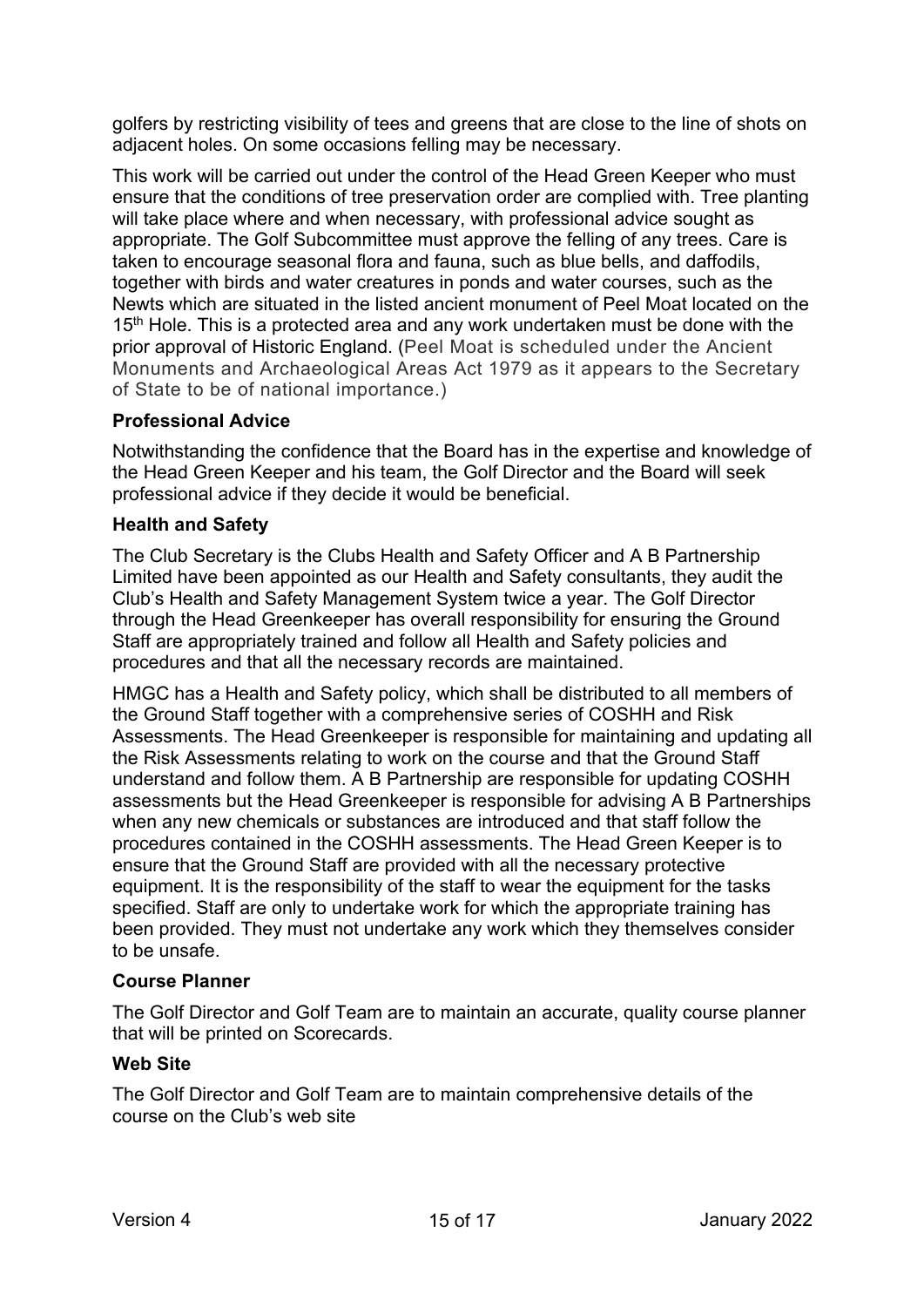golfers by restricting visibility of tees and greens that are close to the line of shots on adjacent holes. On some occasions felling may be necessary.

This work will be carried out under the control of the Head Green Keeper who must ensure that the conditions of tree preservation order are complied with. Tree planting will take place where and when necessary, with professional advice sought as appropriate. The Golf Subcommittee must approve the felling of any trees. Care is taken to encourage seasonal flora and fauna, such as blue bells, and daffodils, together with birds and water creatures in ponds and water courses, such as the Newts which are situated in the listed ancient monument of Peel Moat located on the 15<sup>th</sup> Hole. This is a protected area and any work undertaken must be done with the prior approval of Historic England. (Peel Moat is scheduled under the Ancient Monuments and Archaeological Areas Act 1979 as it appears to the Secretary of State to be of national importance.)

#### **Professional Advice**

Notwithstanding the confidence that the Board has in the expertise and knowledge of the Head Green Keeper and his team, the Golf Director and the Board will seek professional advice if they decide it would be beneficial.

#### **Health and Safety**

The Club Secretary is the Clubs Health and Safety Officer and A B Partnership Limited have been appointed as our Health and Safety consultants, they audit the Club's Health and Safety Management System twice a year. The Golf Director through the Head Greenkeeper has overall responsibility for ensuring the Ground Staff are appropriately trained and follow all Health and Safety policies and procedures and that all the necessary records are maintained.

HMGC has a Health and Safety policy, which shall be distributed to all members of the Ground Staff together with a comprehensive series of COSHH and Risk Assessments. The Head Greenkeeper is responsible for maintaining and updating all the Risk Assessments relating to work on the course and that the Ground Staff understand and follow them. A B Partnership are responsible for updating COSHH assessments but the Head Greenkeeper is responsible for advising A B Partnerships when any new chemicals or substances are introduced and that staff follow the procedures contained in the COSHH assessments. The Head Green Keeper is to ensure that the Ground Staff are provided with all the necessary protective equipment. It is the responsibility of the staff to wear the equipment for the tasks specified. Staff are only to undertake work for which the appropriate training has been provided. They must not undertake any work which they themselves consider to be unsafe.

#### **Course Planner**

The Golf Director and Golf Team are to maintain an accurate, quality course planner that will be printed on Scorecards.

#### **Web Site**

The Golf Director and Golf Team are to maintain comprehensive details of the course on the Club's web site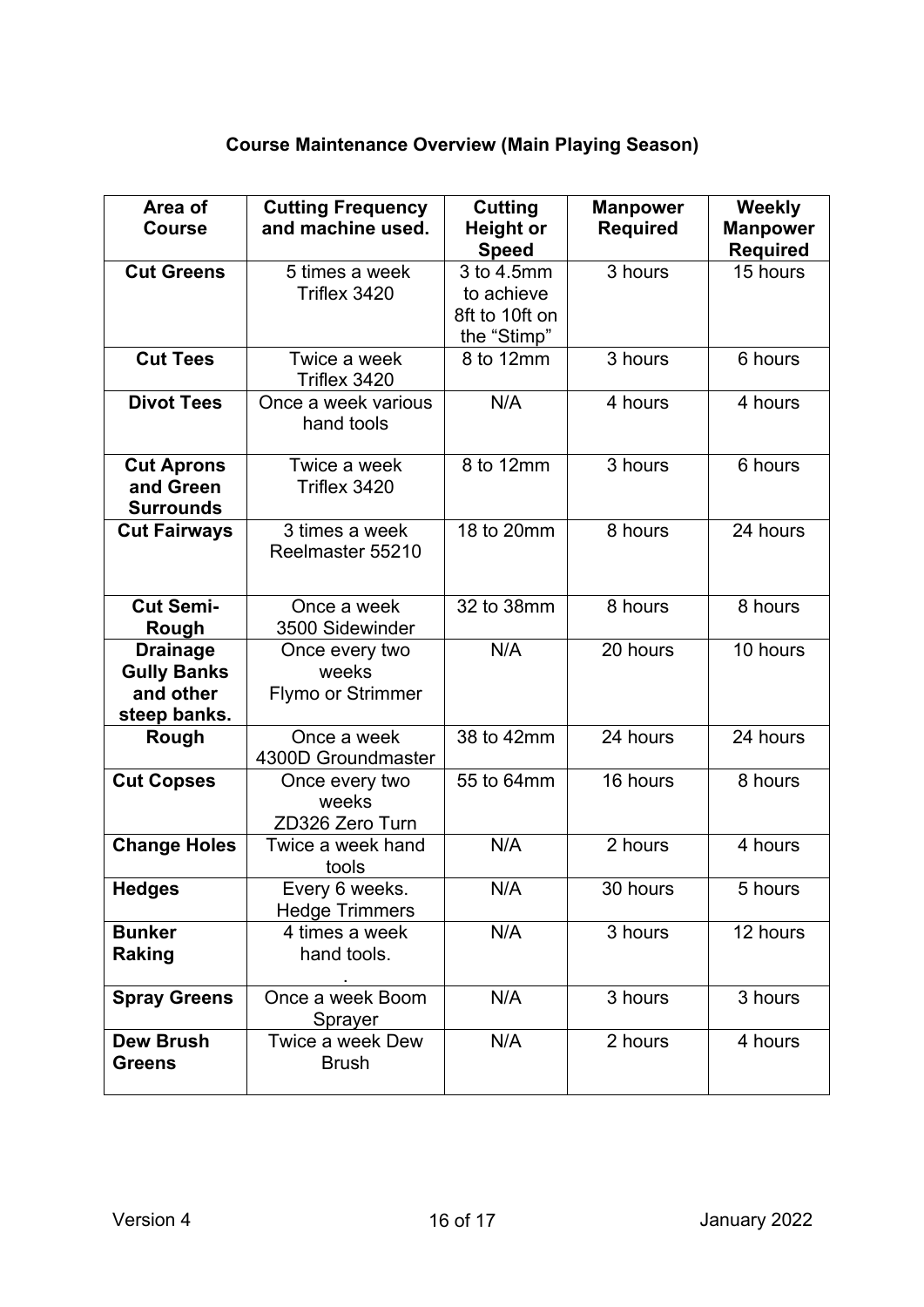# **Course Maintenance Overview (Main Playing Season)**

| Area of<br><b>Course</b>                                           | <b>Cutting Frequency</b><br>and machine used. | Cutting<br><b>Height or</b><br><b>Speed</b>               | <b>Manpower</b><br><b>Required</b> | <b>Weekly</b><br><b>Manpower</b><br>Required |
|--------------------------------------------------------------------|-----------------------------------------------|-----------------------------------------------------------|------------------------------------|----------------------------------------------|
| <b>Cut Greens</b>                                                  | 5 times a week<br>Triflex 3420                | 3 to 4.5mm<br>to achieve<br>8ft to 10ft on<br>the "Stimp" | 3 hours                            | 15 hours                                     |
| <b>Cut Tees</b>                                                    | Twice a week<br>Triflex 3420                  | 8 to 12mm                                                 | 3 hours                            | 6 hours                                      |
| <b>Divot Tees</b>                                                  | Once a week various<br>hand tools             | N/A                                                       | 4 hours                            | 4 hours                                      |
| <b>Cut Aprons</b><br>and Green<br><b>Surrounds</b>                 | Twice a week<br>Triflex 3420                  | 8 to 12mm                                                 | 3 hours                            | 6 hours                                      |
| <b>Cut Fairways</b>                                                | 3 times a week<br>Reelmaster 55210            | 18 to 20mm                                                | 8 hours                            | 24 hours                                     |
| <b>Cut Semi-</b><br>Rough                                          | Once a week<br>3500 Sidewinder                | 32 to 38mm                                                | 8 hours                            | 8 hours                                      |
| <b>Drainage</b><br><b>Gully Banks</b><br>and other<br>steep banks. | Once every two<br>weeks<br>Flymo or Strimmer  | N/A                                                       | 20 hours                           | 10 hours                                     |
| Rough                                                              | Once a week<br>4300D Groundmaster             | 38 to 42mm                                                | 24 hours                           | 24 hours                                     |
| <b>Cut Copses</b>                                                  | Once every two<br>weeks<br>ZD326 Zero Turn    | 55 to 64mm                                                | 16 hours                           | 8 hours                                      |
| <b>Change Holes</b>                                                | Twice a week hand<br>tools                    | N/A                                                       | 2 hours                            | 4 hours                                      |
| <b>Hedges</b>                                                      | Every 6 weeks.<br><b>Hedge Trimmers</b>       | N/A                                                       | 30 hours                           | 5 hours                                      |
| <b>Bunker</b><br><b>Raking</b>                                     | 4 times a week<br>hand tools.                 | N/A                                                       | 3 hours                            | 12 hours                                     |
| <b>Spray Greens</b>                                                | Once a week Boom<br>Sprayer                   | N/A                                                       | 3 hours                            | 3 hours                                      |
| <b>Dew Brush</b><br><b>Greens</b>                                  | Twice a week Dew<br><b>Brush</b>              | N/A                                                       | 2 hours                            | 4 hours                                      |